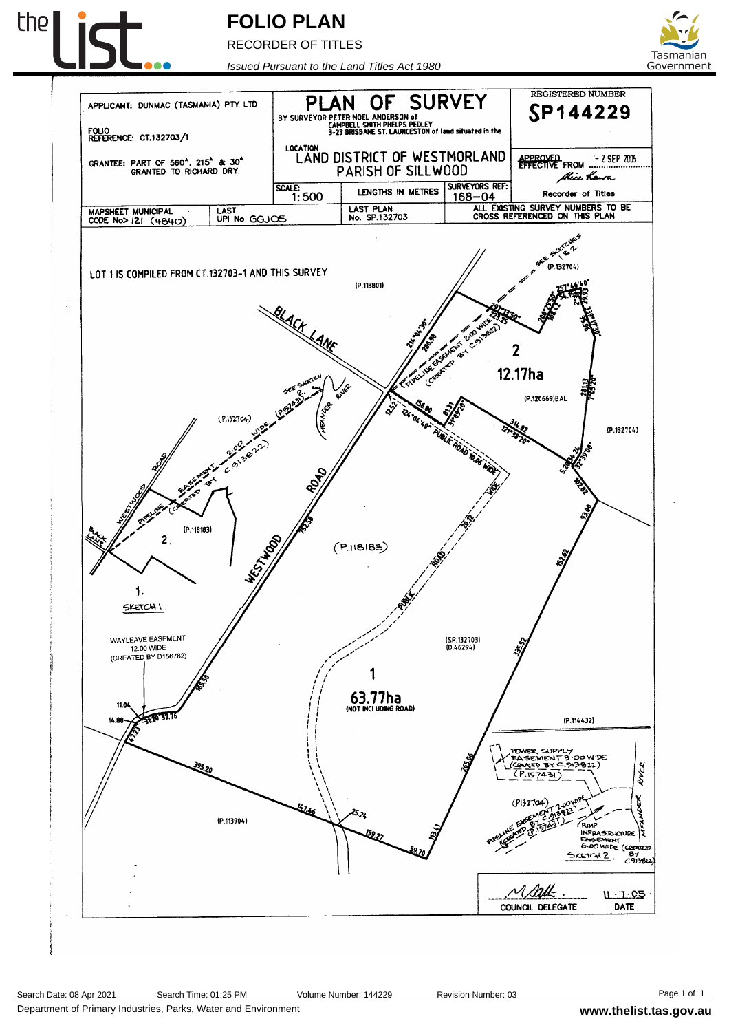

## **FOLIO PLAN**

RECORDER OF TITLES



REGISTERED NUMBER

SP144229

dhice K**a**n

Recorder of Titles

 $-2$  SEP 2005

ze.

*Issued Pursuant to the Land Titles Act 1980* OF SURVEY APPLICANT: DUNMAC (TASMANIA) PTY LTD PLAN BY SURVEYOR PETER NOEL ANDERSON of<br>
SAN SURVEYOR CAMPBELL SMITH PHELPS PEDLEY<br>
3-23 BRISBANE ST. LAUNCESTON of land situated in the FOLIO<br>REFERENCE: CT.132703/1 LOCATION<br>LAND DISTRICT OF WESTMORLAND GRANTEE: PART OF 560<sup>4</sup>, 215<sup>4</sup> & 30<sup>4</sup><br>GRANTED TO RICHARD DRY. APPROVED<br>EFFECTIVE FROM PARISH OF SILLWOOD SURVEYORS REF:  $\overline{\text{SCALE:}}$  1:500 LENGTHS IN METRES 168-04 LAST PLAN<br>No. SP.132703